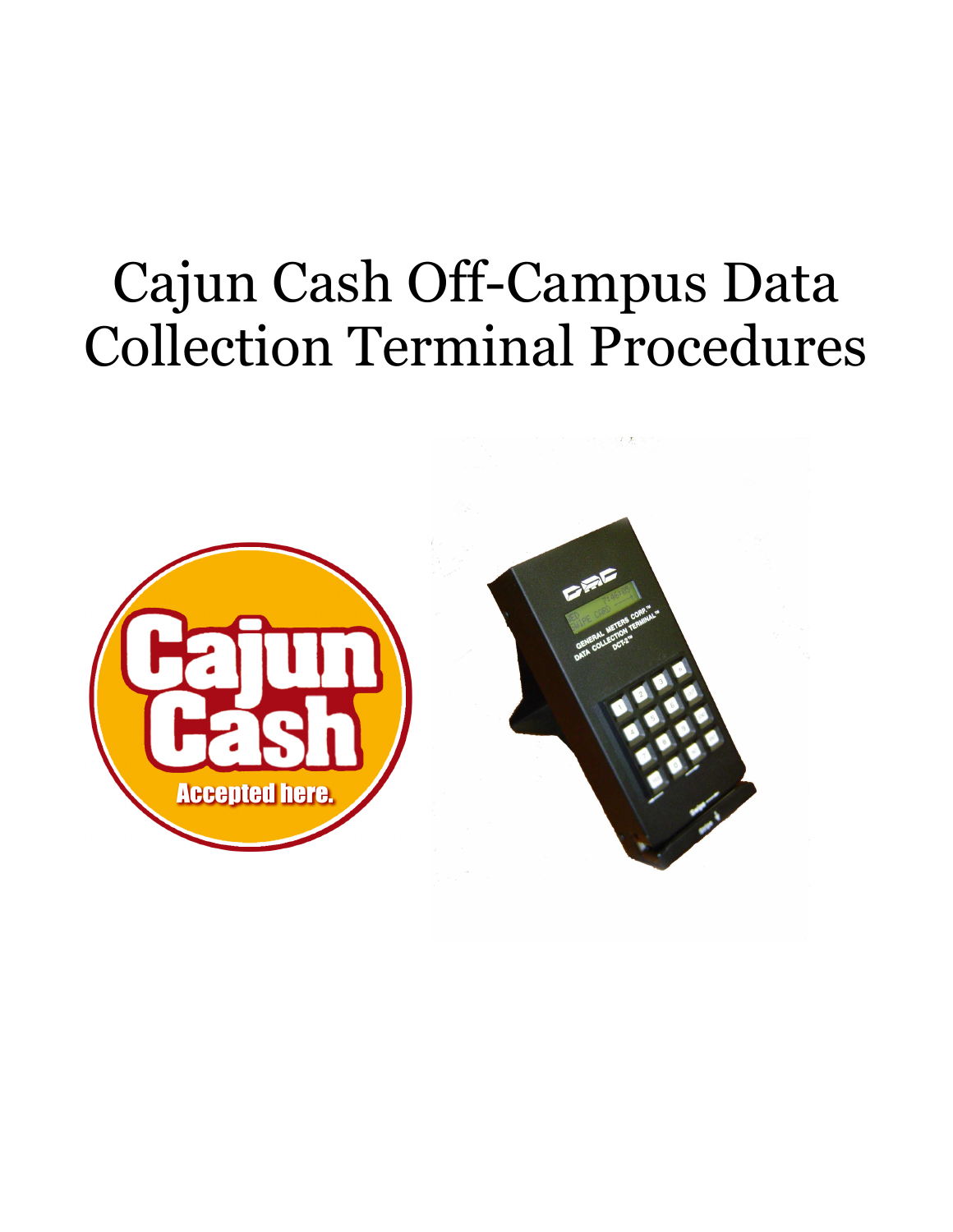# Cajun Cash Off-Campus Data Collection Terminal Procedures

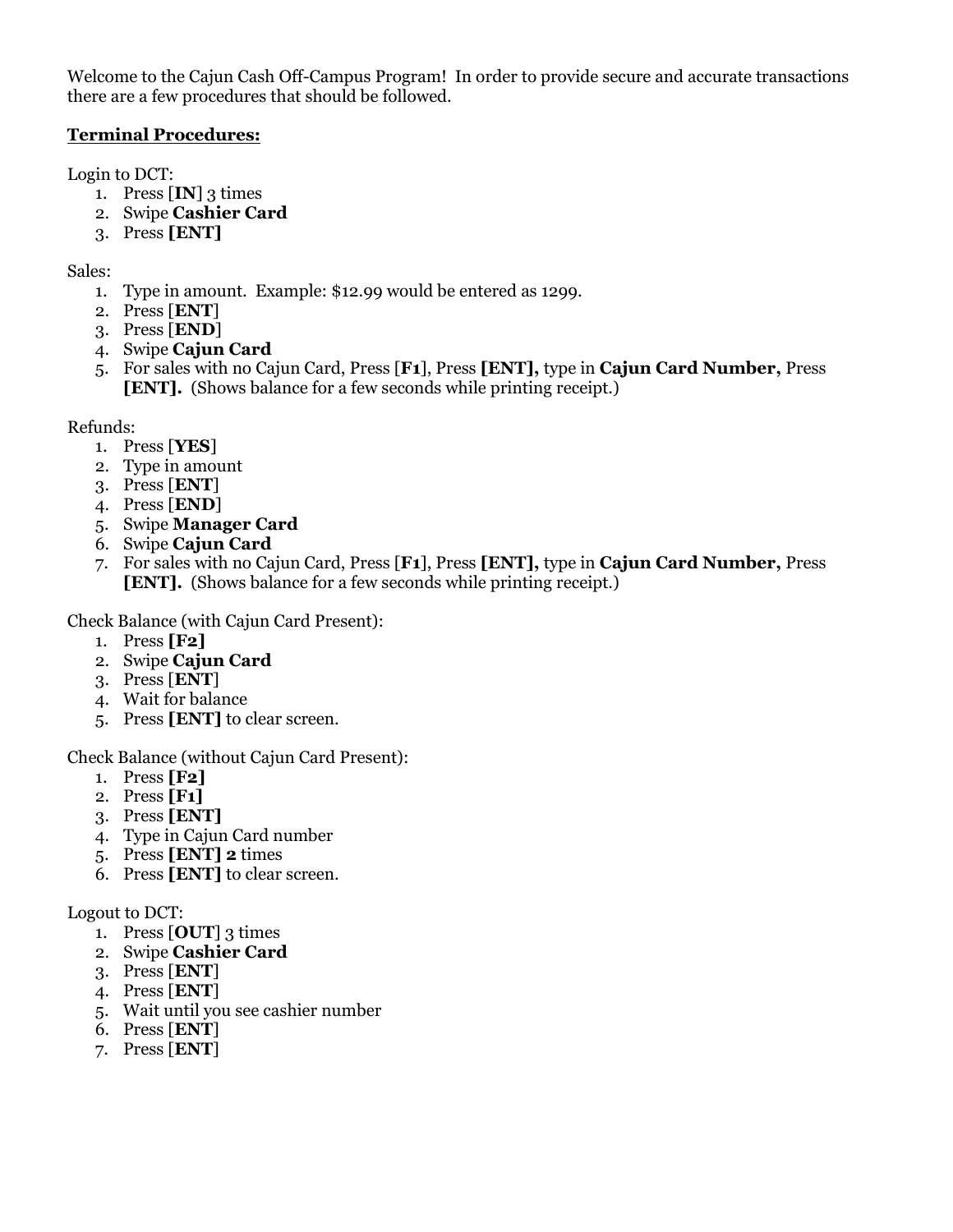Welcome to the Cajun Cash Off-Campus Program! In order to provide secure and accurate transactions there are a few procedures that should be followed.

### Terminal Procedures:

Login to DCT:

- 1. Press  $\textbf{[IN]}$  3 times
- 2. Swipe Cashier Card
- 3. Press [ENT]

Sales:

- 1. Type in amount. Example: \$12.99 would be entered as 1299.
- 2. Press [ENT]
- 3. Press [END]
- 4. Swipe Cajun Card
- 5. For sales with no Cajun Card, Press [F1], Press [ENT], type in Cajun Card Number, Press [ENT]. (Shows balance for a few seconds while printing receipt.)

#### Refunds:

- 1. Press [YES]
- 2. Type in amount
- 3. Press [ENT]
- 4. Press [END]
- 5. Swipe Manager Card
- 6. Swipe Cajun Card
- 7. For sales with no Cajun Card, Press [F1], Press [ENT], type in Cajun Card Number, Press [ENT]. (Shows balance for a few seconds while printing receipt.)

Check Balance (with Cajun Card Present):

- 1. Press [F2]
- 2. Swipe Cajun Card
- 3. Press [ENT]
- 4. Wait for balance
- 5. Press [ENT] to clear screen.

Check Balance (without Cajun Card Present):

- 1. Press [F2]
- 2. Press [F1]
- 3. Press [ENT]
- 4. Type in Cajun Card number
- 5. Press [ENT] 2 times
- 6. Press [ENT] to clear screen.

#### Logout to DCT:

- 1. Press  $\left[$  OUT $\right]$  3 times
- 2. Swipe Cashier Card
- 3. Press [ENT]
- 4. Press [ENT]
- 5. Wait until you see cashier number
- 6. Press [ENT]
- 7. Press [ENT]